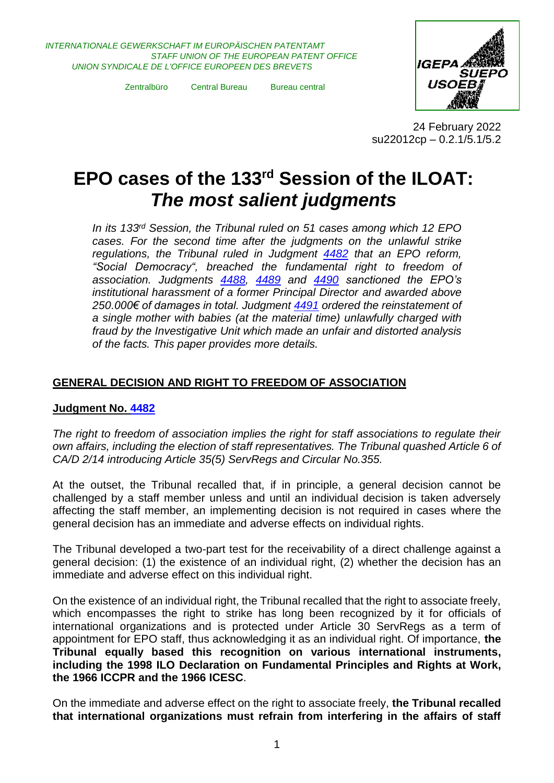*INTERNATIONALE GEWERKSCHAFT IM EUROPÄISCHEN PATENTAMT STAFF UNION OF THE EUROPEAN PATENT OFFICE UNION SYNDICALE DE L'OFFICE EUROPEEN DES BREVETS*

Zentralbüro Central Bureau Bureau central



24 February 2022 su22012cp – 0.2.1/5.1/5.2

# **EPO cases of the 133rd Session of the ILOAT:**  *The most salient judgments*

*In its 133rd Session, the Tribunal ruled on 51 cases among which 12 EPO cases. For the second time after the judgments on the unlawful strike regulations, the Tribunal ruled in Judgment [4482](https://www.ilo.org/dyn/triblex/triblexmain.fullText?p_lang=en&p_judgment_no=4482&p_language_code=EN) that an EPO reform, "Social Democracy", breached the fundamental right to freedom of association. Judgments [4488,](https://www.ilo.org/dyn/triblex/triblexmain.fullText?p_lang=en&p_judgment_no=4488&p_language_code=EN) [4489](https://www.ilo.org/dyn/triblex/triblexmain.fullText?p_lang=en&p_judgment_no=4489&p_language_code=EN) and [4490](https://www.ilo.org/dyn/triblex/triblexmain.fullText?p_lang=en&p_judgment_no=4490&p_language_code=EN) sanctioned the EPO's institutional harassment of a former Principal Director and awarded above 250.000€ of damages in total. Judgment [4491](https://www.ilo.org/dyn/triblex/triblexmain.fullText?p_lang=en&p_judgment_no=4491&p_language_code=EN) ordered the reinstatement of a single mother with babies (at the material time) unlawfully charged with fraud by the Investigative Unit which made an unfair and distorted analysis of the facts. This paper provides more details.*

## **GENERAL DECISION AND RIGHT TO FREEDOM OF ASSOCIATION**

#### **Judgment No. [4482](https://www.ilo.org/dyn/triblex/triblexmain.fullText?p_lang=en&p_judgment_no=4482&p_language_code=EN)**

*The right to freedom of association implies the right for staff associations to regulate their own affairs, including the election of staff representatives. The Tribunal quashed Article 6 of CA/D 2/14 introducing Article 35(5) ServRegs and Circular No.355.*

At the outset, the Tribunal recalled that, if in principle, a general decision cannot be challenged by a staff member unless and until an individual decision is taken adversely affecting the staff member, an implementing decision is not required in cases where the general decision has an immediate and adverse effects on individual rights.

The Tribunal developed a two-part test for the receivability of a direct challenge against a general decision: (1) the existence of an individual right, (2) whether the decision has an immediate and adverse effect on this individual right.

On the existence of an individual right, the Tribunal recalled that the right to associate freely, which encompasses the right to strike has long been recognized by it for officials of international organizations and is protected under Article 30 ServRegs as a term of appointment for EPO staff, thus acknowledging it as an individual right. Of importance, **the Tribunal equally based this recognition on various international instruments, including the 1998 ILO Declaration on Fundamental Principles and Rights at Work, the 1966 ICCPR and the 1966 ICESC**.

On the immediate and adverse effect on the right to associate freely, **the Tribunal recalled that international organizations must refrain from interfering in the affairs of staff**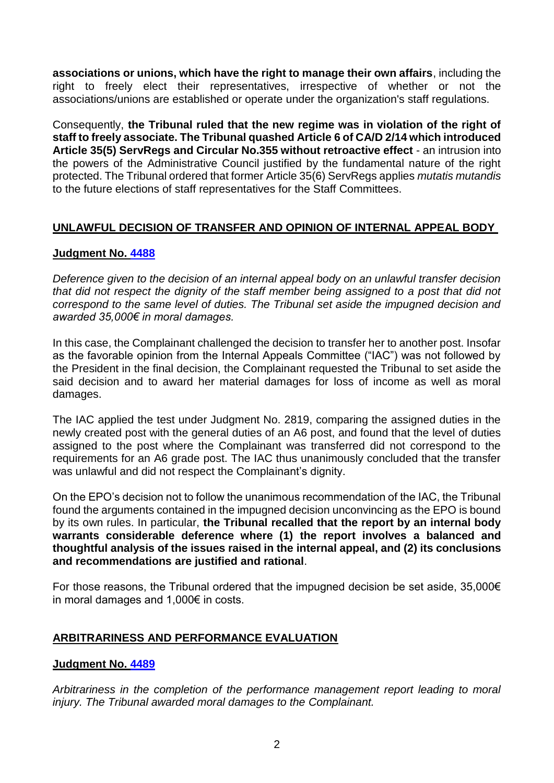**associations or unions, which have the right to manage their own affairs**, including the right to freely elect their representatives, irrespective of whether or not the associations/unions are established or operate under the organization's staff regulations.

Consequently, **the Tribunal ruled that the new regime was in violation of the right of staff to freely associate. The Tribunal quashed Article 6 of CA/D 2/14 which introduced Article 35(5) ServRegs and Circular No.355 without retroactive effect** - an intrusion into the powers of the Administrative Council justified by the fundamental nature of the right protected. The Tribunal ordered that former Article 35(6) ServRegs applies *mutatis mutandis* to the future elections of staff representatives for the Staff Committees.

## **UNLAWFUL DECISION OF TRANSFER AND OPINION OF INTERNAL APPEAL BODY**

## **Judgment No. [4488](https://www.ilo.org/dyn/triblex/triblexmain.fullText?p_lang=en&p_judgment_no=4488&p_language_code=EN)**

*Deference given to the decision of an internal appeal body on an unlawful transfer decision that did not respect the dignity of the staff member being assigned to a post that did not correspond to the same level of duties. The Tribunal set aside the impugned decision and awarded 35,000€ in moral damages.*

In this case, the Complainant challenged the decision to transfer her to another post. Insofar as the favorable opinion from the Internal Appeals Committee ("IAC") was not followed by the President in the final decision, the Complainant requested the Tribunal to set aside the said decision and to award her material damages for loss of income as well as moral damages.

The IAC applied the test under Judgment No. 2819, comparing the assigned duties in the newly created post with the general duties of an A6 post, and found that the level of duties assigned to the post where the Complainant was transferred did not correspond to the requirements for an A6 grade post. The IAC thus unanimously concluded that the transfer was unlawful and did not respect the Complainant's dignity.

On the EPO's decision not to follow the unanimous recommendation of the IAC, the Tribunal found the arguments contained in the impugned decision unconvincing as the EPO is bound by its own rules. In particular, **the Tribunal recalled that the report by an internal body warrants considerable deference where (1) the report involves a balanced and thoughtful analysis of the issues raised in the internal appeal, and (2) its conclusions and recommendations are justified and rational**.

For those reasons, the Tribunal ordered that the impugned decision be set aside, 35,000€ in moral damages and 1,000€ in costs.

## **ARBITRARINESS AND PERFORMANCE EVALUATION**

#### **Judgment No. [4489](https://www.ilo.org/dyn/triblex/triblexmain.fullText?p_lang=en&p_judgment_no=4489&p_language_code=EN)**

*Arbitrariness in the completion of the performance management report leading to moral injury. The Tribunal awarded moral damages to the Complainant.*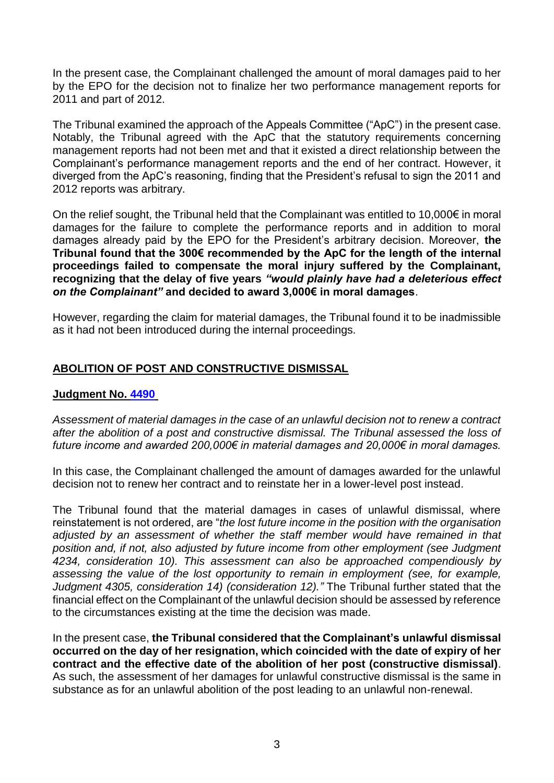In the present case, the Complainant challenged the amount of moral damages paid to her by the EPO for the decision not to finalize her two performance management reports for 2011 and part of 2012.

The Tribunal examined the approach of the Appeals Committee ("ApC") in the present case. Notably, the Tribunal agreed with the ApC that the statutory requirements concerning management reports had not been met and that it existed a direct relationship between the Complainant's performance management reports and the end of her contract. However, it diverged from the ApC's reasoning, finding that the President's refusal to sign the 2011 and 2012 reports was arbitrary.

On the relief sought, the Tribunal held that the Complainant was entitled to 10,000€ in moral damages for the failure to complete the performance reports and in addition to moral damages already paid by the EPO for the President's arbitrary decision. Moreover, **the Tribunal found that the 300€ recommended by the ApC for the length of the internal proceedings failed to compensate the moral injury suffered by the Complainant, recognizing that the delay of five years** *"would plainly have had a deleterious effect on the Complainant"* **and decided to award 3,000€ in moral damages**.

However, regarding the claim for material damages, the Tribunal found it to be inadmissible as it had not been introduced during the internal proceedings.

## **ABOLITION OF POST AND CONSTRUCTIVE DISMISSAL**

### **Judgment No. [4490](https://www.ilo.org/dyn/triblex/triblexmain.fullText?p_lang=en&p_judgment_no=4490&p_language_code=EN)**

*Assessment of material damages in the case of an unlawful decision not to renew a contract after the abolition of a post and constructive dismissal. The Tribunal assessed the loss of future income and awarded 200,000€ in material damages and 20,000€ in moral damages.*

In this case, the Complainant challenged the amount of damages awarded for the unlawful decision not to renew her contract and to reinstate her in a lower-level post instead.

The Tribunal found that the material damages in cases of unlawful dismissal, where reinstatement is not ordered, are "*the lost future income in the position with the organisation adjusted by an assessment of whether the staff member would have remained in that position and, if not, also adjusted by future income from other employment (see Judgment 4234, consideration 10). This assessment can also be approached compendiously by assessing the value of the lost opportunity to remain in employment (see, for example, Judgment 4305, consideration 14) (consideration 12)."* The Tribunal further stated that the financial effect on the Complainant of the unlawful decision should be assessed by reference to the circumstances existing at the time the decision was made.

In the present case, **the Tribunal considered that the Complainant's unlawful dismissal occurred on the day of her resignation, which coincided with the date of expiry of her contract and the effective date of the abolition of her post (constructive dismissal)**. As such, the assessment of her damages for unlawful constructive dismissal is the same in substance as for an unlawful abolition of the post leading to an unlawful non-renewal.